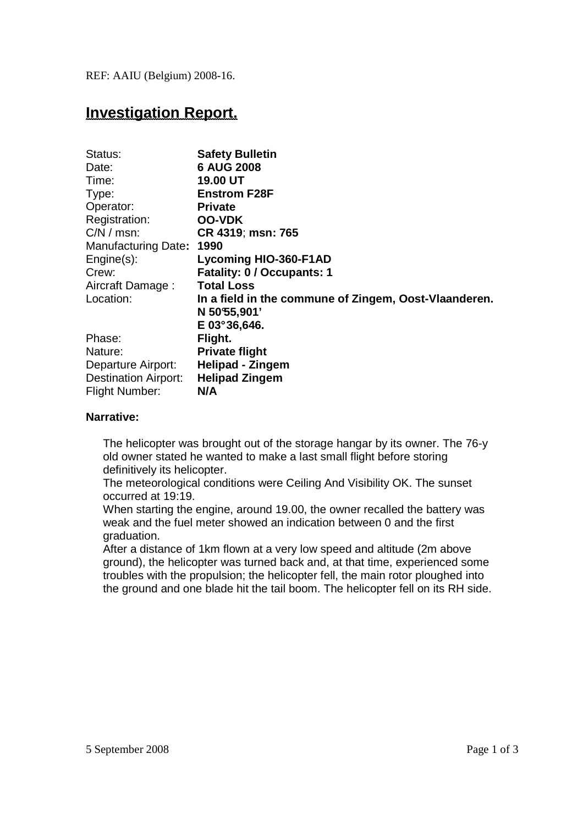REF: AAIU (Belgium) 2008-16.

# **Investigation Report.**

| Status:                     | <b>Safety Bulletin</b>                                |
|-----------------------------|-------------------------------------------------------|
| Date:                       | <b>6 AUG 2008</b>                                     |
| Time:                       | <b>19.00 UT</b>                                       |
| Type:                       | <b>Enstrom F28F</b>                                   |
| Operator:                   | <b>Private</b>                                        |
| Registration:               | <b>OO-VDK</b>                                         |
| $C/N / msn$ :               | CR 4319; msn: 765                                     |
| Manufacturing Date:         | 1990                                                  |
| $Engine(s)$ :               | <b>Lycoming HIO-360-F1AD</b>                          |
| Crew:                       | <b>Fatality: 0 / Occupants: 1</b>                     |
| Aircraft Damage:            | <b>Total Loss</b>                                     |
| Location:                   | In a field in the commune of Zingem, Oost-Vlaanderen. |
|                             | N 50°55,901'                                          |
|                             | $E$ 03°36,646.                                        |
| Phase:                      | Flight.                                               |
| Nature:                     | <b>Private flight</b>                                 |
| Departure Airport:          | <b>Helipad - Zingem</b>                               |
| <b>Destination Airport:</b> | <b>Helipad Zingem</b>                                 |
| <b>Flight Number:</b>       | N/A                                                   |

## **Narrative:**

The helicopter was brought out of the storage hangar by its owner. The 76-y old owner stated he wanted to make a last small flight before storing definitively its helicopter.

The meteorological conditions were Ceiling And Visibility OK. The sunset occurred at 19:19.

When starting the engine, around 19.00, the owner recalled the battery was weak and the fuel meter showed an indication between 0 and the first graduation.

After a distance of 1km flown at a very low speed and altitude (2m above ground), the helicopter was turned back and, at that time, experienced some troubles with the propulsion; the helicopter fell, the main rotor ploughed into the ground and one blade hit the tail boom. The helicopter fell on its RH side.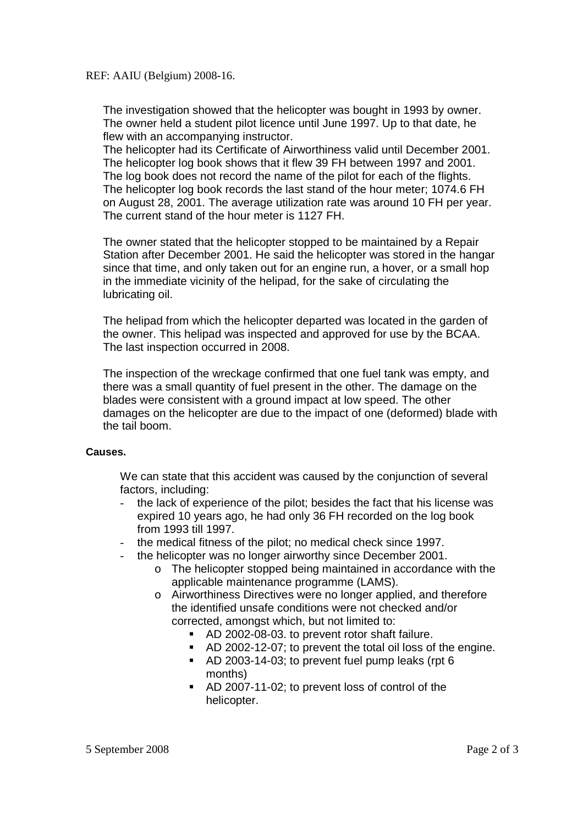The investigation showed that the helicopter was bought in 1993 by owner. The owner held a student pilot licence until June 1997. Up to that date, he flew with an accompanying instructor.

The helicopter had its Certificate of Airworthiness valid until December 2001. The helicopter log book shows that it flew 39 FH between 1997 and 2001. The log book does not record the name of the pilot for each of the flights. The helicopter log book records the last stand of the hour meter; 1074.6 FH on August 28, 2001. The average utilization rate was around 10 FH per year. The current stand of the hour meter is 1127 FH.

The owner stated that the helicopter stopped to be maintained by a Repair Station after December 2001. He said the helicopter was stored in the hangar since that time, and only taken out for an engine run, a hover, or a small hop in the immediate vicinity of the helipad, for the sake of circulating the lubricating oil.

The helipad from which the helicopter departed was located in the garden of the owner. This helipad was inspected and approved for use by the BCAA. The last inspection occurred in 2008.

The inspection of the wreckage confirmed that one fuel tank was empty, and there was a small quantity of fuel present in the other. The damage on the blades were consistent with a ground impact at low speed. The other damages on the helicopter are due to the impact of one (deformed) blade with the tail boom.

#### **Causes.**

We can state that this accident was caused by the conjunction of several factors, including:

- the lack of experience of the pilot; besides the fact that his license was expired 10 years ago, he had only 36 FH recorded on the log book from 1993 till 1997.
- the medical fitness of the pilot; no medical check since 1997.
- the helicopter was no longer airworthy since December 2001.
	- o The helicopter stopped being maintained in accordance with the applicable maintenance programme (LAMS).
	- o Airworthiness Directives were no longer applied, and therefore the identified unsafe conditions were not checked and/or corrected, amongst which, but not limited to:
		- AD 2002-08-03. to prevent rotor shaft failure.
		- AD 2002-12-07; to prevent the total oil loss of the engine.
		- AD 2003-14-03; to prevent fuel pump leaks (rpt 6 months)
		- AD 2007-11-02; to prevent loss of control of the helicopter.